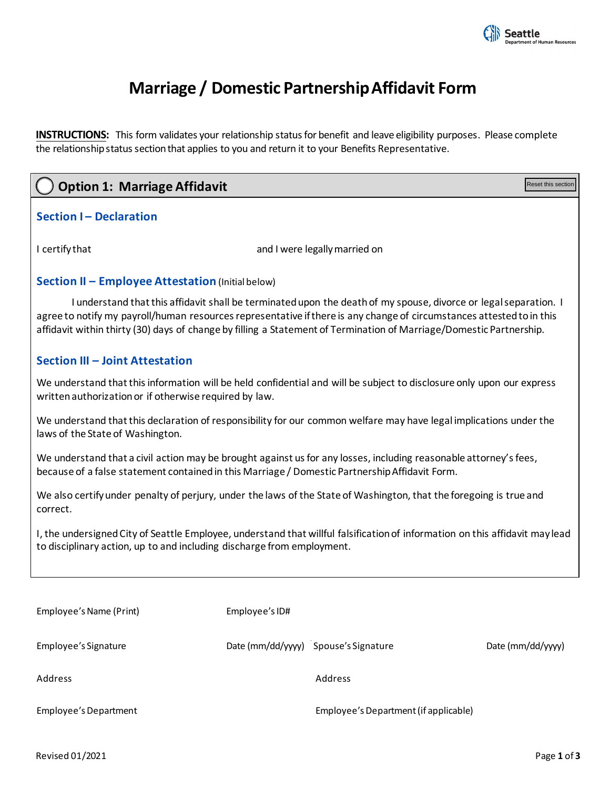

Reset this section

# **Marriage / Domestic PartnershipAffidavit Form**

**INSTRUCTIONS:** This form validates your relationship status for benefit and leave eligibility purposes. Please complete the relationship statussection that applies to you and return it to your Benefits Representative.

# **Option 1: Marriage Affidavit**

### **Section I – Declaration**

I certify that and I were legally married on

### **Section II – Employee Attestation** (Initial below)

 I understand that this affidavit shall be terminated upon the death of my spouse, divorce or legal separation. I agree to notify my payroll/human resources representative if there is any change of circumstances attested to in this affidavit within thirty (30) days of change by filling a Statement of Termination of Marriage/Domestic Partnership.

### **Section III – Joint Attestation**

We understand that this information will be held confidential and will be subject to disclosure only upon our express written authorization or if otherwise required by law.

We understand that this declaration of responsibility for our common welfare may have legal implications under the laws of the State of Washington.

We understand that a civil action may be brought against us for any losses, including reasonable attorney's fees, because of a false statement contained in this Marriage / Domestic Partnership Affidavit Form.

We also certify under penalty of perjury, under the laws of the State of Washington, that the foregoing is true and correct.

I, the undersigned City of Seattle Employee, understand that willful falsification of information on this affidavit may lead to disciplinary action, up to and including discharge from employment.

| Employee's Name (Print) | Employee's ID# |                                       |                   |
|-------------------------|----------------|---------------------------------------|-------------------|
| Employee's Signature    |                | Date (mm/dd/yyyy) Spouse's Signature  | Date (mm/dd/yyyy) |
| Address                 |                | Address                               |                   |
| Employee's Department   |                | Employee's Department (if applicable) |                   |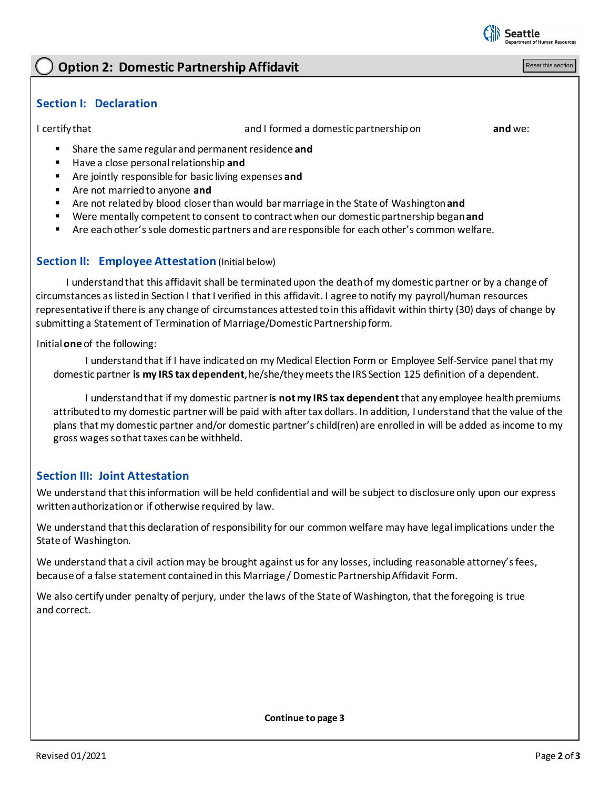

# **Option 2: Domestic Partnership Affidavit**

Reset this section

## **Section I: Declaration**

I certify that and I formed a domestic partnership on **and** we:

- Share the same regular and permanent residence **and**
- Have a close personal relationship **and**
- Are jointly responsible for basic living expenses **and**
- Are not married to anyone **and**
- Are not related by blood closer than would bar marriage in the State of Washington**and**
- Were mentally competent to consent to contract when our domestic partnership began **and**
- Are each other's sole domestic partners and are responsible for each other's common welfare.

#### **Section II: Employee Attestation (Initial below)**

 I understand that this affidavit shall be terminated upon the death of my domestic partner or by a change of circumstances as listed in Section I that I verified in this affidavit. I agree to notify my payroll/human resources representative if there is any change of circumstances attested to in this affidavit within thirty (30) days of change by submitting a Statement of Termination of Marriage/Domestic Partnershipform.

Initial**one** of the following:

 I understand that if I have indicated on my Medical Election Form or Employee Self-Service panel that my domestic partner **is my IRS tax dependent**, he/she/theymeets the IRS Section 125 definition of a dependent.

 I understand that if my domestic partner **is not my IRS tax dependent**that any employee health premiums attributed to my domestic partner will be paid with after tax dollars. In addition, I understand that the value of the plans that my domestic partner and/or domestic partner's child(ren) are enrolled in will be added as income to my gross wages so that taxes can be withheld.

#### **Section III: Joint Attestation**

We understand that this information will be held confidential and will be subject to disclosure only upon our express written authorization or if otherwise required by law.

We understand that this declaration of responsibility for our common welfare may have legal implications under the State of Washington.

We understand that a civil action may be brought against us for any losses, including reasonable attorney's fees, because of a false statement contained in this Marriage / Domestic PartnershipAffidavit Form.

We also certify under penalty of perjury, under the laws of the State of Washington, that the foregoing is true and correct.